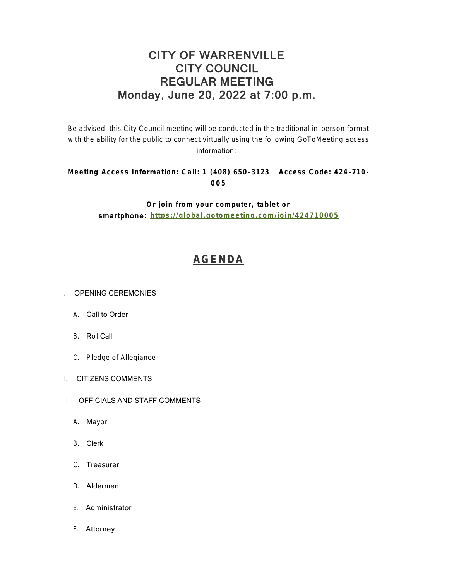## CITY OF WARRENVILLE CITY COUNCIL REGULAR MEETING Monday, June 20, 2022 at 7:00 p.m.

Be advised: this City Council meeting will be conducted in the traditional in-person format with the ability for the public to connect virtually using the following GoToMeeting access information:

## **Meeting Access Information: Call: 1 (408) 650 -3123 Access Code: 424 -710 - 005**

**Or join from your computer, tablet or**  smartphone: **<https://global.gotomeeting.com/join/424710005>**

# **[AGENDA](https://www.warrenville.il.us/DocumentCenter/View/19288/06-20-22--Agenda-Packet-PDF)**

#### I. OPENING CEREMONIES

- A. Call to Order
- B. Roll Call
- C. Pledge of Allegiance
- II. CITIZENS COMMENTS
- III. OFFICIALS AND STAFF COMMENTS
	- A. Mayor
	- B. Clerk
	- C. Treasurer
	- D. Aldermen
	- E. Administrator
	- F. Attorney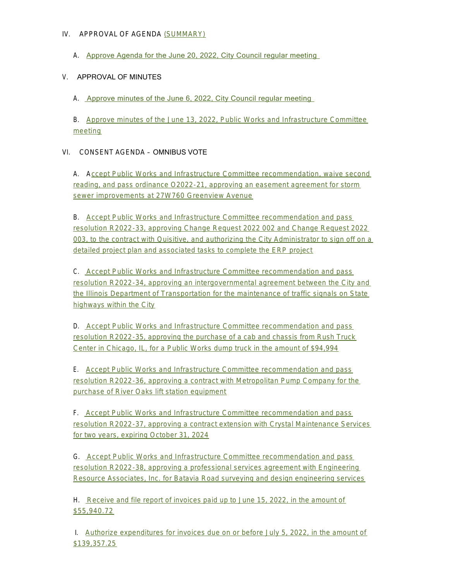#### IV. APPROVAL OF AGENDA [\(SUMMARY\)](https://www.warrenville.il.us/DocumentCenter/View/19290/06-20-22-Summary-PDF)

A. [Approve Agenda for the June 20, 2022, City Council regular meeting](https://www.warrenville.il.us/DocumentCenter/View/19289/06-20-22--Agenda-PDF) 

### V. APPROVAL OF MINUTES

A. [Approve minutes of the June 6, 2022, City Council regular meeting](https://www.warrenville.il.us/DocumentCenter/View/19291/VA-06-06-22-Regular-Council-Minutes-PDF) 

B. [Approve minutes of the June 13, 2022, Public Works and Infrastructure Committee](https://www.warrenville.il.us/DocumentCenter/View/19292/VB-6-13-22-PW_I-COW-Minutes-PDF)  meeting

### VI. CONSENT AGENDA – OMNIBUS VOTE

A. A[ccept Public Works and Infrastructure Committee recommendation, waive second](https://www.warrenville.il.us/DocumentCenter/View/19293/VIA-O2022-21-Approving-Easement-Agreement-Greenview-Ave-Storm-Stewer-Improvements-PDF)  reading, and pass ordinance O2022-21, approving an easement agreement for storm sewer improvements at 27W760 Greenview Avenue

B. Accept Public Works and Infrastructure Committee recommendation and pass resolution R2022-33, approving Change Request 2022 002 and Change Request 2022 003[, to the contract with Quisitive, and authorizing the City Administrator to sign off on a](https://www.warrenville.il.us/DocumentCenter/View/19294/VIB-R2022-33-Approving-Change-Orders-with-Quisitive-for-ERP-Implementation-PDF)  detailed project plan and associated tasks to complete the ERP project

C. Accept Public Works and Infrastructure Committee recommendation and pass res[olution R2022-34, approving an intergovernmental agreement between the City and](https://www.warrenville.il.us/DocumentCenter/View/19295/VIC-R2022-34-Approving-IGA-with-IDOT-re-Traffic-Signals-PDF)  the Illinois Department of Transportation for the maintenance of traffic signals on State highways within the City

D. Accept Public Works and Infrastructure Committee recommendation and pass res[olution R2022-35, approving the purchase of a cab and chassis from Rush Truck](https://www.warrenville.il.us/DocumentCenter/View/19296/VID-R2022-35-Approving-Purchase-of-Dump-Truck-Cab-and-Chassis-from-Rush-Truck-Center-PDF)  Center in Chicago, IL, for a Public Works dump truck in the amount of \$94,994

E. Accept Public Works and Infrastructure Committee recommendation and pass res[olution R2022-36, approving a contract with Metropolitan Pump Company for the](https://www.warrenville.il.us/DocumentCenter/View/19297/VIE-R2022-36-Approving-Purchase-of-River-Oaks-Lift-Station-Equip-Metropolitan-Pump-PDF)  purchase of River Oaks lift station equipment

F. Accept Public Works and Infrastructure Committee recommendation and pass res[olution R2022-37, approving a contract extension with Crystal Maintenance Services](https://www.warrenville.il.us/DocumentCenter/View/19298/VIF-R2022-37-Approving-Third-Amendment-to-Crystal-Maintenance-Services-Contract-PDF)  for two years, expiring October 31, 2024

G. [A](https://www.warrenville.il.us/DocumentCenter/View/19299/VIG-R2022-38-Approving-Agreement-for-Survey-Design-Engineering-Batavia-Road-Sidewalk-PDF)ccept Public Works and Infrastructure Committee recommendation and pass resolution R2022-38, approving a professional services agreement with Engineering Res[ource Associates, Inc. for Batavia Road surveying and design engineering services](https://www.warrenville.il.us/DocumentCenter/View/19299/VIG-R2022-38-Approving-Agreement-for-Survey-Design-Engineering-Batavia-Road-Sidewalk-PDF)

H. [Receive and file report of invoices paid up to June 15, 2022, in the amount of](https://www.warrenville.il.us/DocumentCenter/View/19300/VIH-Paid-Invoices-up-to-06-15-22-PDF)  \$55,940.72

 I. [Authorize expenditures for invoices due on or before July 5, 2022, in the amount of](https://www.warrenville.il.us/DocumentCenter/View/19301/VII-Invoices-Due-on-or-Before-07-05-22-PDF)  \$139,357.25